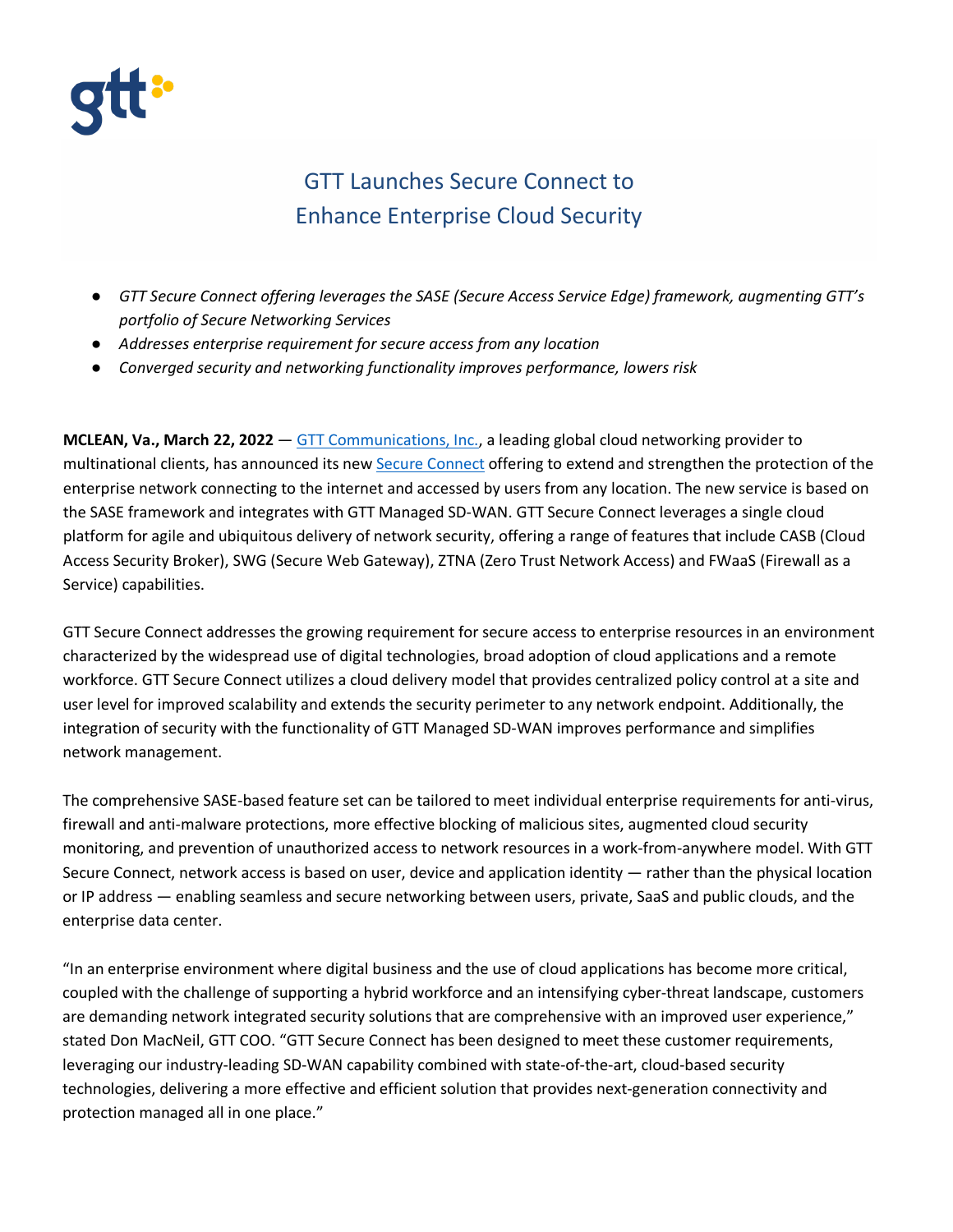

## GTT Launches Secure Connect to Enhance Enterprise Cloud Security

- *GTT Secure Connect offering leverages the SASE (Secure Access Service Edge) framework, augmenting GTT's portfolio of Secure Networking Services*
- *Addresses enterprise requirement for secure access from any location*
- *Converged security and networking functionality improves performance, lowers risk*

**MCLEAN, Va., March 22, 2022** — [GTT Communications, Inc.,](https://www.gtt.net/) a leading global cloud networking provider to multinational clients, has announced its new [Secure Connect](https://www.gtt.net/us-en/services/secure-networking/sase-secure-connect) offering to extend and strengthen the protection of the enterprise network connecting to the internet and accessed by users from any location. The new service is based on the SASE framework and integrates with GTT Managed SD-WAN. GTT Secure Connect leverages a single cloud platform for agile and ubiquitous delivery of network security, offering a range of features that include CASB (Cloud Access Security Broker), SWG (Secure Web Gateway), ZTNA (Zero Trust Network Access) and FWaaS (Firewall as a Service) capabilities.

GTT Secure Connect addresses the growing requirement for secure access to enterprise resources in an environment characterized by the widespread use of digital technologies, broad adoption of cloud applications and a remote workforce. GTT Secure Connect utilizes a cloud delivery model that provides centralized policy control at a site and user level for improved scalability and extends the security perimeter to any network endpoint. Additionally, the integration of security with the functionality of GTT Managed SD-WAN improves performance and simplifies network management.

The comprehensive SASE-based feature set can be tailored to meet individual enterprise requirements for anti-virus, firewall and anti-malware protections, more effective blocking of malicious sites, augmented cloud security monitoring, and prevention of unauthorized access to network resources in a work-from-anywhere model. With GTT Secure Connect, network access is based on user, device and application identity — rather than the physical location or IP address — enabling seamless and secure networking between users, private, SaaS and public clouds, and the enterprise data center.

"In an enterprise environment where digital business and the use of cloud applications has become more critical, coupled with the challenge of supporting a hybrid workforce and an intensifying cyber-threat landscape, customers are demanding network integrated security solutions that are comprehensive with an improved user experience," stated Don MacNeil, GTT COO. "GTT Secure Connect has been designed to meet these customer requirements, leveraging our industry-leading SD-WAN capability combined with state-of-the-art, cloud-based security technologies, delivering a more effective and efficient solution that provides next-generation connectivity and protection managed all in one place."